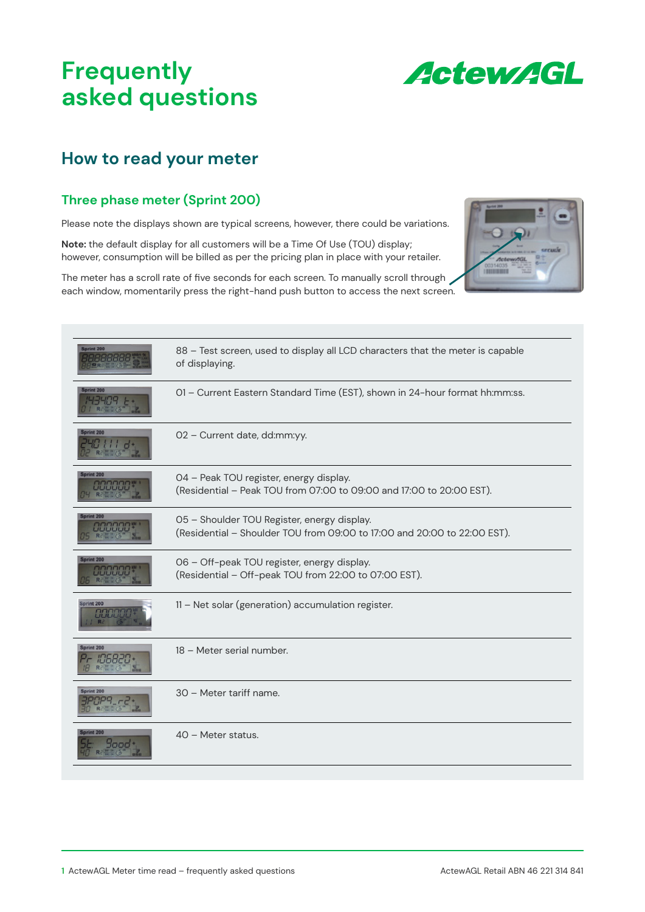# **Frequently asked questions**



# **How to read your meter**

#### **Three phase meter (Sprint 200)**

Please note the displays shown are typical screens, however, there could be variations.

**Note:** the default display for all customers will be a Time Of Use (TOU) display; however, consumption will be billed as per the pricing plan in place with your retailer.

The meter has a scroll rate of five seconds for each screen. To manually scroll through each window, momentarily press the right-hand push button to access the next screen.



| Sprint 200                 | 88 - Test screen, used to display all LCD characters that the meter is capable<br>of displaying.                        |
|----------------------------|-------------------------------------------------------------------------------------------------------------------------|
| int 200                    | 01 - Current Eastern Standard Time (EST), shown in 24-hour format hh:mm:ss.                                             |
| Sprint 200                 | 02 - Current date, dd:mm:yy.                                                                                            |
| print 200<br><b>JULIUI</b> | 04 - Peak TOU register, energy display.<br>(Residential – Peak TOU from 07:00 to 09:00 and 17:00 to 20:00 EST).         |
| print 200<br>88888         | 05 - Shoulder TOU Register, energy display.<br>(Residential - Shoulder TOU from 09:00 to 17:00 and 20:00 to 22:00 EST). |
| Sprint 200<br>888881       | 06 - Off-peak TOU register, energy display.<br>(Residential - Off-peak TOU from 22:00 to 07:00 EST).                    |
| rint 200                   | 11 - Net solar (generation) accumulation register.                                                                      |
| Sprint 200                 | 18 - Meter serial number.                                                                                               |
| Sprint 200                 | 30 - Meter tariff name.                                                                                                 |
| 1000                       | 40 - Meter status.                                                                                                      |
|                            |                                                                                                                         |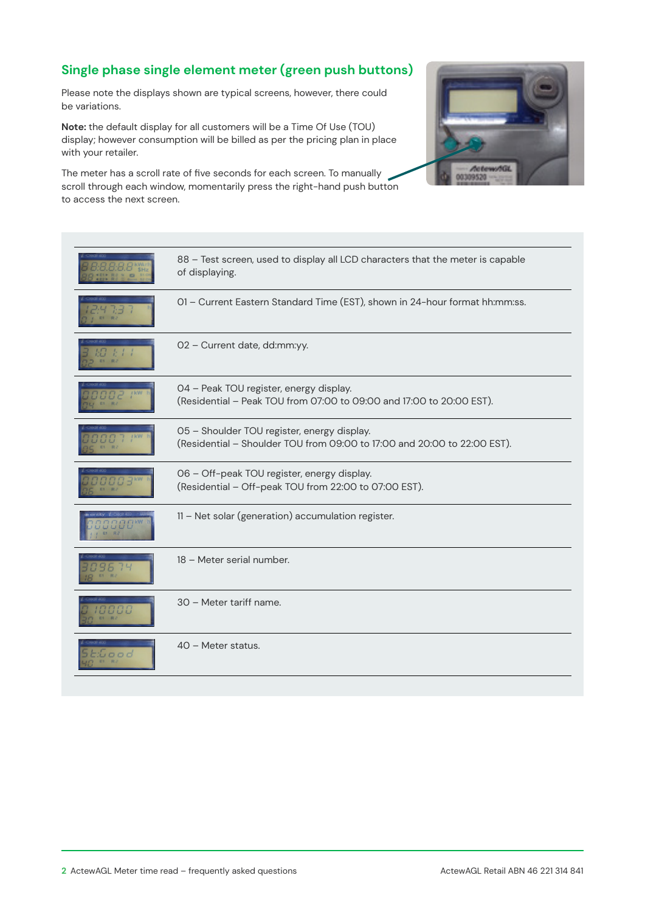### **Single phase single element meter (green push buttons)**

Please note the displays shown are typical screens, however, there could be variations.

**Note:** the default display for all customers will be a Time Of Use (TOU) display; however consumption will be billed as per the pricing plan in place with your retailer.

The meter has a scroll rate of five seconds for each screen. To manually scroll through each window, momentarily press the right-hand push button to access the next screen.



|     | 88 - Test screen, used to display all LCD characters that the meter is capable<br>of displaying.                        |
|-----|-------------------------------------------------------------------------------------------------------------------------|
|     | 01 - Current Eastern Standard Time (EST), shown in 24-hour format hh:mm:ss.                                             |
|     | 02 - Current date, dd:mm:yy.                                                                                            |
|     | 04 - Peak TOU register, energy display.<br>(Residential - Peak TOU from 07:00 to 09:00 and 17:00 to 20:00 EST).         |
|     | 05 - Shoulder TOU register, energy display.<br>(Residential - Shoulder TOU from 09:00 to 17:00 and 20:00 to 22:00 EST). |
|     | 06 - Off-peak TOU register, energy display.<br>(Residential - Off-peak TOU from 22:00 to 07:00 EST).                    |
|     | 11 - Net solar (generation) accumulation register.                                                                      |
|     | 18 - Meter serial number.                                                                                               |
|     | 30 - Meter tariff name.                                                                                                 |
| 000 | 40 - Meter status.                                                                                                      |
|     |                                                                                                                         |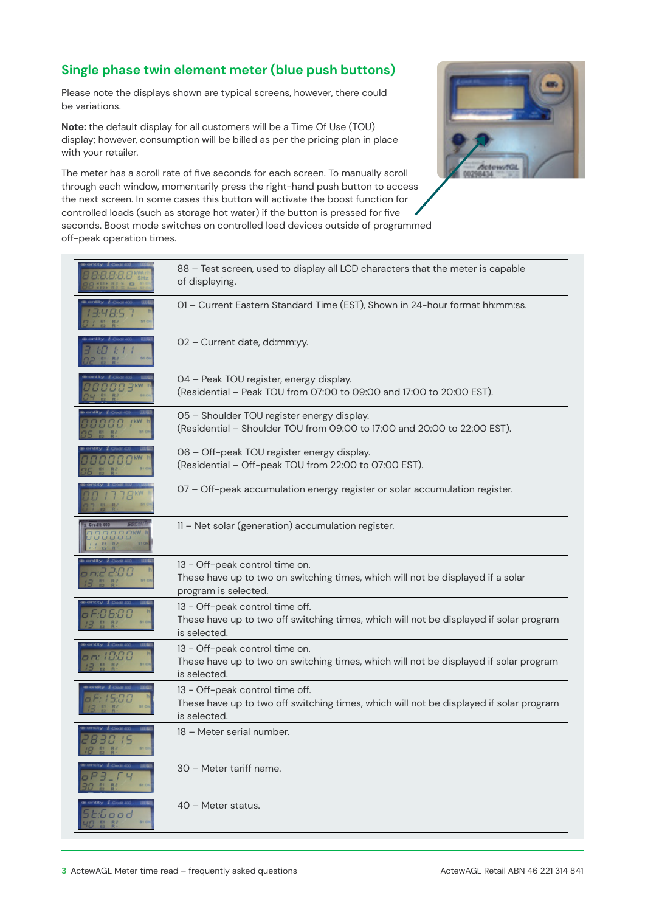#### **Single phase twin element meter (blue push buttons)**

Please note the displays shown are typical screens, however, there could be variations.

**Note:** the default display for all customers will be a Time Of Use (TOU) display; however, consumption will be billed as per the pricing plan in place with your retailer.



The meter has a scroll rate of five seconds for each screen. To manually scroll through each window, momentarily press the right-hand push button to access the next screen. In some cases this button will activate the boost function for controlled loads (such as storage hot water) if the button is pressed for five seconds. Boost mode switches on controlled load devices outside of programmed off-peak operation times.

|      | 88 - Test screen, used to display all LCD characters that the meter is capable<br>of displaying.                                          |
|------|-------------------------------------------------------------------------------------------------------------------------------------------|
|      | 01 - Current Eastern Standard Time (EST), Shown in 24-hour format hh:mm:ss.                                                               |
|      | 02 - Current date, dd:mm:yy.                                                                                                              |
|      | 04 - Peak TOU register, energy display.<br>(Residential - Peak TOU from 07:00 to 09:00 and 17:00 to 20:00 EST).                           |
|      | 05 - Shoulder TOU register energy display.<br>(Residential - Shoulder TOU from 09:00 to 17:00 and 20:00 to 22:00 EST).                    |
|      | 06 - Off-peak TOU register energy display.<br>(Residential - Off-peak TOU from 22:00 to 07:00 EST).                                       |
|      | 07 - Off-peak accumulation energy register or solar accumulation register.                                                                |
|      | 11 - Net solar (generation) accumulation register.                                                                                        |
|      | 13 - Off-peak control time on.<br>These have up to two on switching times, which will not be displayed if a solar<br>program is selected. |
|      | 13 - Off-peak control time off.<br>These have up to two off switching times, which will not be displayed if solar program<br>is selected. |
|      | 13 - Off-peak control time on.<br>These have up to two on switching times, which will not be displayed if solar program<br>is selected.   |
|      | 13 - Off-peak control time off.<br>These have up to two off switching times, which will not be displayed if solar program<br>is selected. |
| 51 O | 18 - Meter serial number.                                                                                                                 |
|      | 30 - Meter tariff name.                                                                                                                   |
| ,,,, | 40 - Meter status.                                                                                                                        |